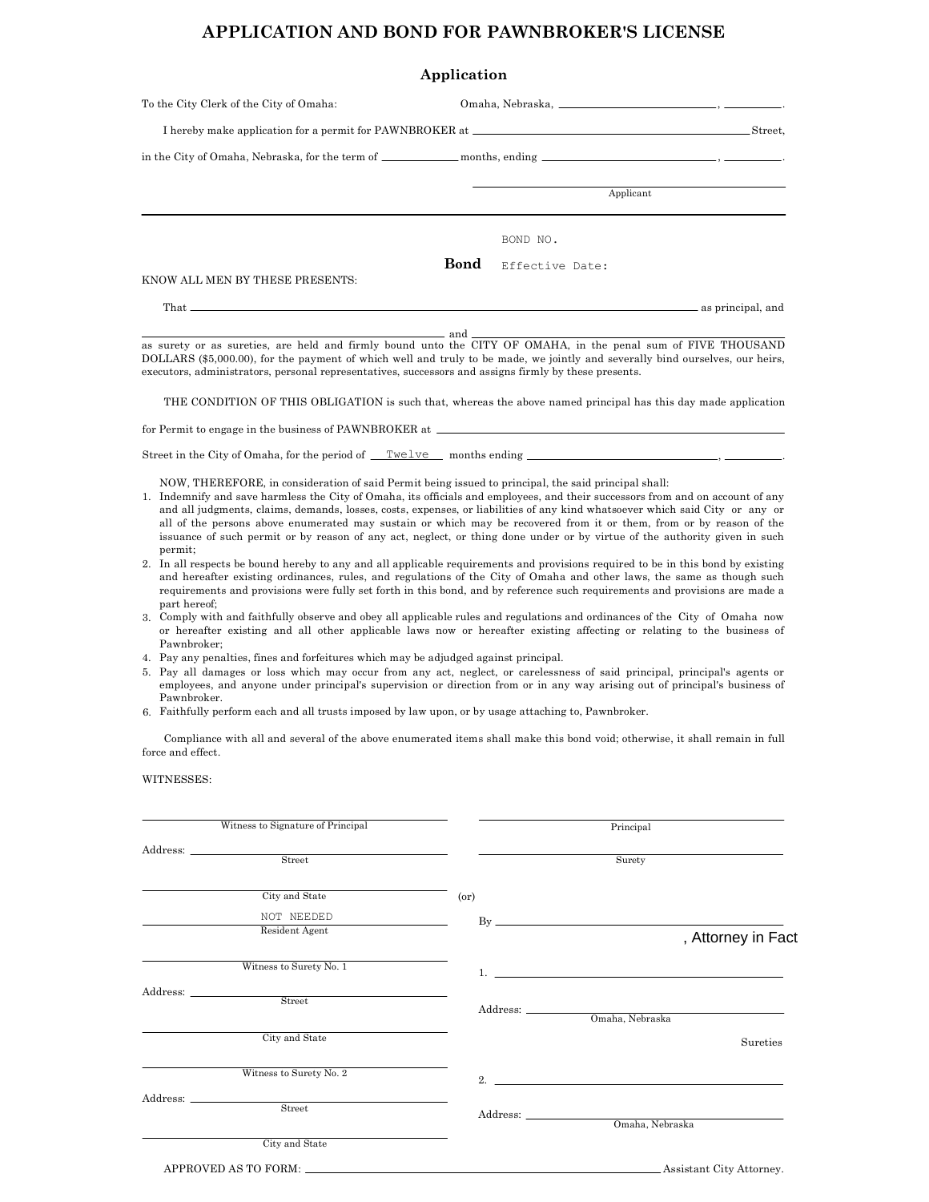## APPLICATION AND BOND FOR PAWNBROKER'S LICENSE

|                                                                                   | Application |                 |  |  |  |  |
|-----------------------------------------------------------------------------------|-------------|-----------------|--|--|--|--|
| To the City Clerk of the City of Omaha:                                           |             |                 |  |  |  |  |
| I hereby make application for a permit for PAWNBROKER at ________________________ |             |                 |  |  |  |  |
|                                                                                   |             |                 |  |  |  |  |
|                                                                                   |             |                 |  |  |  |  |
|                                                                                   |             | BOND NO.        |  |  |  |  |
| KNOW ALL MEN BY THESE PRESENTS:                                                   | Bond        | Effective Date: |  |  |  |  |
|                                                                                   |             |                 |  |  |  |  |

as surety or as sureties, are held and firmly bound unto the CITY OF OMAHA, in the penal sum of FIVE THOUSAND DOLLARS (\$5,000.00), for the payment of which well and truly to be made, we jointly and severally bind ourselves, our heirs, executors, administrators, personal representatives, successors and assigns firmly by these presents. and

THE CONDITION OF THIS OBLIGATION is such that, whereas the above named principal has this day made application

as principal, and

.

for Permit to engage in the business of PAWNBROKER at

Street in the City of Omaha, for the period of <u>Twelve</u> months ending , which is ending , and the months ending ,  $\frac{1}{2}$ ,

NOW, THEREFORE, in consideration of said Permit being issued to principal, the said principal shall:

- 1. Indemnify and save harmless the City of Omaha, its officials and employees, and their successors from and on account of any and all judgments, claims, demands, losses, costs, expenses, or liabilities of any kind whatsoever which said City or any or all of the persons above enumerated may sustain or which may be recovered from it or them, from or by reason of the issuance of such permit or by reason of any act, neglect, or thing done under or by virtue of the authority given in such permit;
- 2. In all respects be bound hereby to any and all applicable requirements and provisions required to be in this bond by existing and hereafter existing ordinances, rules, and regulations of the City of Omaha and other laws, the same as though such requirements and provisions were fully set forth in this bond, and by reference such requirements and provisions are made a part hereof;
- 3. Comply with and faithfully observe and obey all applicable rules and regulations and ordinances of the City of Omaha now or hereafter existing and all other applicable laws now or hereafter existing affecting or relating to the business of Pawnbroker;
- 4. Pay any penalties, fines and forfeitures which may be adjudged against principal.
- Pay all damages or loss which may occur from any act, neglect, or carelessness of said principal, principal's agents or 5. employees, and anyone under principal's supervision or direction from or in any way arising out of principal's business of Pawnbroker.
- 6. Faithfully perform each and all trusts imposed by law upon, or by usage attaching to, Pawnbroker.

Compliance with all and several of the above enumerated items shall make this bond void; otherwise, it shall remain in full force and effect.

WITNESSES:

That

| Witness to Signature of Principal                                                                                                                                                                                                                                                                                                                                                                                                                                                  |      | Principal                     |                    |
|------------------------------------------------------------------------------------------------------------------------------------------------------------------------------------------------------------------------------------------------------------------------------------------------------------------------------------------------------------------------------------------------------------------------------------------------------------------------------------|------|-------------------------------|--------------------|
| $\begin{tabular}{c} Address: \end{tabular} \begin{tabular}{c} \multicolumn{2}{c}{{\bf \textbf{2}}}\\ \multicolumn{2}{c}{{\bf \textbf{3}}}\\ \multicolumn{2}{c}{{\bf \textbf{4}}}\\ \multicolumn{2}{c}{{\bf \textbf{5}}}\\ \multicolumn{2}{c}{{\bf \textbf{5}}}\\ \multicolumn{2}{c}{{\bf \textbf{6}}}\\ \multicolumn{2}{c}{{\bf \textbf{6}}}\\ \multicolumn{2}{c}{{\bf \textbf{6}}}\\ \multicolumn{2}{c}{{\bf \textbf{6}}}\\ \multicolumn{2}{c}{{\bf \textbf{7}}}\\ \multicolumn{$ |      |                               |                    |
|                                                                                                                                                                                                                                                                                                                                                                                                                                                                                    |      | Surety                        |                    |
| City and State                                                                                                                                                                                                                                                                                                                                                                                                                                                                     | (0r) |                               |                    |
| NOT NEEDED                                                                                                                                                                                                                                                                                                                                                                                                                                                                         |      |                               |                    |
| Resident Agent                                                                                                                                                                                                                                                                                                                                                                                                                                                                     |      |                               | , Attorney in Fact |
| Witness to Surety No. 1                                                                                                                                                                                                                                                                                                                                                                                                                                                            |      |                               |                    |
|                                                                                                                                                                                                                                                                                                                                                                                                                                                                                    |      |                               |                    |
| $\begin{tabular}{c} Address: \end{tabular} \begin{tabular}{c} \multicolumn{2}{c}{{\bf 1}}\\ \multicolumn{2}{c}{{\bf 2}}\\ \end{tabular}$                                                                                                                                                                                                                                                                                                                                           |      |                               |                    |
| City and State                                                                                                                                                                                                                                                                                                                                                                                                                                                                     |      |                               | Sureties           |
| Witness to Surety No. 2                                                                                                                                                                                                                                                                                                                                                                                                                                                            |      | $2.$ $\overline{\phantom{a}}$ |                    |
|                                                                                                                                                                                                                                                                                                                                                                                                                                                                                    |      |                               |                    |
| $\begin{array}{cc}\n \text{Address:} & \text{~\quad} & \text{~\quad} \nend{array}$                                                                                                                                                                                                                                                                                                                                                                                                 |      | Omaha, Nebraska               |                    |
| City and State                                                                                                                                                                                                                                                                                                                                                                                                                                                                     |      |                               |                    |
|                                                                                                                                                                                                                                                                                                                                                                                                                                                                                    |      | Assistant City Attorney.      |                    |